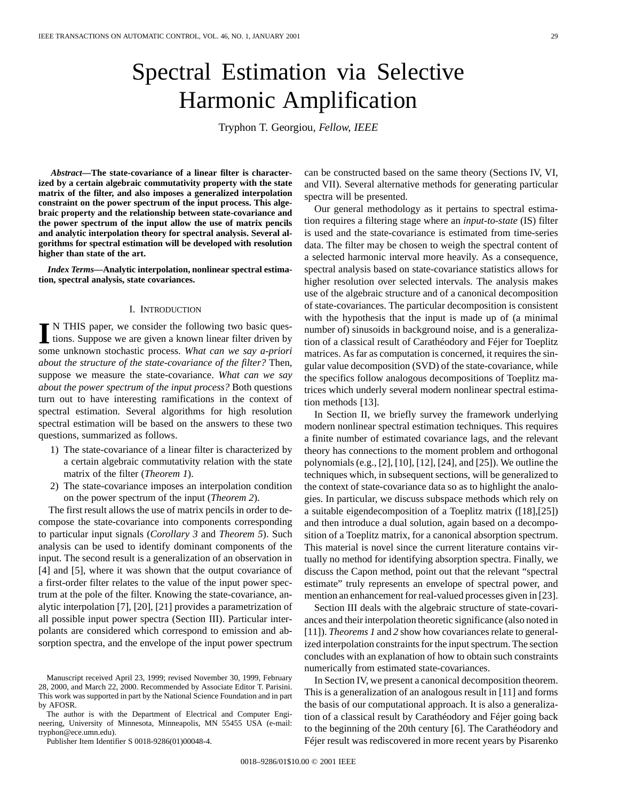# Spectral Estimation via Selective Harmonic Amplification

Tryphon T. Georgiou*, Fellow, IEEE*

*Abstract—***The state-covariance of a linear filter is characterized by a certain algebraic commutativity property with the state matrix of the filter, and also imposes a generalized interpolation constraint on the power spectrum of the input process. This algebraic property and the relationship between state-covariance and the power spectrum of the input allow the use of matrix pencils and analytic interpolation theory for spectral analysis. Several algorithms for spectral estimation will be developed with resolution higher than state of the art.**

*Index Terms—***Analytic interpolation, nonlinear spectral estimation, spectral analysis, state covariances.**

#### I. INTRODUCTION

II N THIS paper, we consider the following two basic questions. Suppose we are given a known linear filter driven by some unknown stochastic process. *What can we say a-priori about the structure of the state-covariance of the filter?* Then, suppose we measure the state-covariance. *What can we say about the power spectrum of the input process?* Both questions turn out to have interesting ramifications in the context of spectral estimation. Several algorithms for high resolution spectral estimation will be based on the answers to these two questions, summarized as follows.

- 1) The state-covariance of a linear filter is characterized by a certain algebraic commutativity relation with the state matrix of the filter (*Theorem 1*).
- 2) The state-covariance imposes an interpolation condition on the power spectrum of the input (*Theorem 2*).

The first result allows the use of matrix pencils in order to decompose the state-covariance into components corresponding to particular input signals (*Corollary 3* and *Theorem 5*). Such analysis can be used to identify dominant components of the input. The second result is a generalization of an observation in [4] and [5], where it was shown that the output covariance of a first-order filter relates to the value of the input power spectrum at the pole of the filter. Knowing the state-covariance, analytic interpolation [7], [20], [21] provides a parametrization of all possible input power spectra (Section III). Particular interpolants are considered which correspond to emission and absorption spectra, and the envelope of the input power spectrum

The author is with the Department of Electrical and Computer Engineering, University of Minnesota, Minneapolis, MN 55455 USA (e-mail: tryphon@ece.umn.edu).

Publisher Item Identifier S 0018-9286(01)00048-4.

can be constructed based on the same theory (Sections IV, VI, and VII). Several alternative methods for generating particular spectra will be presented.

Our general methodology as it pertains to spectral estimation requires a filtering stage where an *input-to-state* (IS) filter is used and the state-covariance is estimated from time-series data. The filter may be chosen to weigh the spectral content of a selected harmonic interval more heavily. As a consequence, spectral analysis based on state-covariance statistics allows for higher resolution over selected intervals. The analysis makes use of the algebraic structure and of a canonical decomposition of state-covariances. The particular decomposition is consistent with the hypothesis that the input is made up of (a minimal number of) sinusoids in background noise, and is a generalization of a classical result of Carathéodory and Féjer for Toeplitz matrices. As far as computation is concerned, it requires the singular value decomposition (SVD) of the state-covariance, while the specifics follow analogous decompositions of Toeplitz matrices which underly several modern nonlinear spectral estimation methods [13].

In Section II, we briefly survey the framework underlying modern nonlinear spectral estimation techniques. This requires a finite number of estimated covariance lags, and the relevant theory has connections to the moment problem and orthogonal polynomials (e.g., [2], [10], [12], [24], and [25]). We outline the techniques which, in subsequent sections, will be generalized to the context of state-covariance data so as to highlight the analogies. In particular, we discuss subspace methods which rely on a suitable eigendecomposition of a Toeplitz matrix ([18],[25]) and then introduce a dual solution, again based on a decomposition of a Toeplitz matrix, for a canonical absorption spectrum. This material is novel since the current literature contains virtually no method for identifying absorption spectra. Finally, we discuss the Capon method, point out that the relevant "spectral estimate" truly represents an envelope of spectral power, and mention an enhancement for real-valued processes given in [23].

Section III deals with the algebraic structure of state-covariances and their interpolation theoretic significance (also noted in [11]). *Theorems 1* and *2* show how covariances relate to generalized interpolation constraints for the input spectrum. The section concludes with an explanation of how to obtain such constraints numerically from estimated state-covariances.

In Section IV, we present a canonical decomposition theorem. This is a generalization of an analogous result in [11] and forms the basis of our computational approach. It is also a generalization of a classical result by Carathéodory and Féjer going back to the beginning of the 20th century [6]. The Carathéodory and Féjer result was rediscovered in more recent years by Pisarenko

Manuscript received April 23, 1999; revised November 30, 1999, February 28, 2000, and March 22, 2000. Recommended by Associate Editor T. Parisini. This work was supported in part by the National Science Foundation and in part by AFOSR.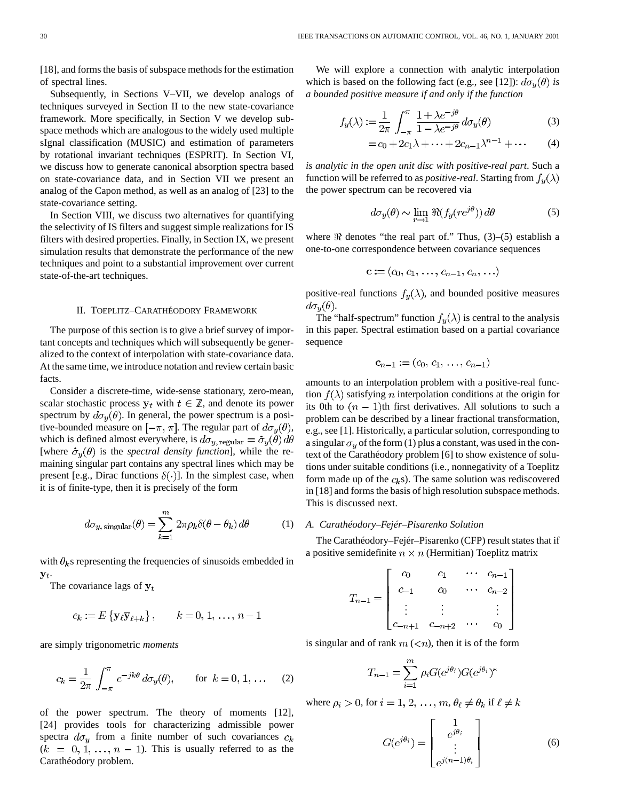[18], and forms the basis of subspace methods for the estimation of spectral lines.

Subsequently, in Sections V–VII, we develop analogs of techniques surveyed in Section II to the new state-covariance framework. More specifically, in Section V we develop subspace methods which are analogous to the widely used multiple sIgnal classification (MUSIC) and estimation of parameters by rotational invariant techniques (ESPRIT). In Section VI, we discuss how to generate canonical absorption spectra based on state-covariance data, and in Section VII we present an analog of the Capon method, as well as an analog of [23] to the state-covariance setting.

In Section VIII, we discuss two alternatives for quantifying the selectivity of IS filters and suggest simple realizations for IS filters with desired properties. Finally, in Section IX, we present simulation results that demonstrate the performance of the new techniques and point to a substantial improvement over current state-of-the-art techniques.

#### II. TOEPLITZ–CARATHÉODORY FRAMEWORK

The purpose of this section is to give a brief survey of important concepts and techniques which will subsequently be generalized to the context of interpolation with state-covariance data. At the same time, we introduce notation and review certain basic facts.

Consider a discrete-time, wide-sense stationary, zero-mean, scalar stochastic process  $y_t$  with  $t \in \mathbb{Z}$ , and denote its power spectrum by  $d\sigma_y(\theta)$ . In general, the power spectrum is a positive-bounded measure on  $[-\pi, \pi]$ . The regular part of  $d\sigma_y(\theta)$ , which is defined almost everywhere, is  $d\sigma_{y, \text{ regular}} = \dot{\sigma}_y(\theta) d\theta$ [where  $\dot{\sigma}_y(\theta)$  is the *spectral density function*], while the remaining singular part contains any spectral lines which may be present [e.g., Dirac functions  $\delta(\cdot)$ ]. In the simplest case, when it is of finite-type, then it is precisely of the form

$$
d\sigma_{y,\text{singular}}(\theta) = \sum_{k=1}^{m} 2\pi \rho_k \delta(\theta - \theta_k) d\theta \qquad (1)
$$

with  $\theta_k$ s representing the frequencies of sinusoids embedded in  $y_t$ .

The covariance lags of  $y_t$ 

$$
c_k := E\left\{\mathbf{y}_{\ell}\overline{\mathbf{y}}_{\ell+k}\right\}, \qquad k = 0, 1, \dots, n-1
$$

are simply trigonometric *moments*

$$
c_k = \frac{1}{2\pi} \int_{-\pi}^{\pi} e^{-jk\theta} d\sigma_y(\theta), \quad \text{for } k = 0, 1, \dots \quad (2)
$$

of the power spectrum. The theory of moments [12], [24] provides tools for characterizing admissible power spectra  $d\sigma_y$  from a finite number of such covariances  $c_k$  $(k = 0, 1, \ldots, n - 1)$ . This is usually referred to as the Carathéodory problem.

We will explore a connection with analytic interpolation which is based on the following fact (e.g., see [12]):  $d\sigma_y(\theta)$  is *a bounded positive measure if and only if the function*

$$
f_y(\lambda) := \frac{1}{2\pi} \int_{-\pi}^{\pi} \frac{1 + \lambda e^{-j\theta}}{1 - \lambda e^{-j\theta}} d\sigma_y(\theta)
$$
 (3)

$$
=c_0+2c_1\lambda+\cdots+2c_{n-1}\lambda^{n-1}+\cdots
$$
 (4)

*is analytic in the open unit disc with positive-real part*. Such a function will be referred to as *positive-real*. Starting from  $f_u(\lambda)$ the power spectrum can be recovered via

$$
d\sigma_y(\theta) \sim \lim_{r \to 1} \Re(f_y(re^{j\theta})) \, d\theta \tag{5}
$$

where  $\Re$  denotes "the real part of." Thus, (3)–(5) establish a one-to-one correspondence between covariance sequences

$$
\mathbf{c}:=(c_0,\,c_1,\,\ldots,\,c_{n-1},\,c_n,\,\ldots)
$$

positive-real functions  $f_y(\lambda)$ , and bounded positive measures  $d\sigma_y(\theta)$ .

The "half-spectrum" function  $f_y(\lambda)$  is central to the analysis in this paper. Spectral estimation based on a partial covariance sequence

$$
\mathbf{c}_{n-1} := (c_0, c_1, \ldots, c_{n-1})
$$

amounts to an interpolation problem with a positive-real function  $f(\lambda)$  satisfying *n* interpolation conditions at the origin for its 0th to  $(n - 1)$ th first derivatives. All solutions to such a problem can be described by a linear fractional transformation, e.g., see [1]. Historically, a particular solution, corresponding to a singular  $\sigma_y$  of the form (1) plus a constant, was used in the context of the Carathéodory problem [6] to show existence of solutions under suitable conditions (i.e., nonnegativity of a Toeplitz form made up of the  $c<sub>k</sub>$ s). The same solution was rediscovered in [18] and forms the basis of high resolution subspace methods. This is discussed next.

#### *A. Carathéodory–Fejér–Pisarenko Solution*

The Carathéodory–Fejér–Pisarenko (CFP) result states that if a positive semidefinite  $n \times n$  (Hermitian) Toeplitz matrix

$$
T_{n-1} = \begin{bmatrix} c_0 & c_1 & \cdots & c_{n-1} \\ c_{-1} & c_0 & \cdots & c_{n-2} \\ \vdots & \vdots & & \vdots \\ c_{-n+1} & c_{-n+2} & \cdots & c_0 \end{bmatrix}
$$

is singular and of rank  $m \, (*n*)$ , then it is of the form

$$
T_{n-1} = \sum_{i=1}^{m} \rho_i G(e^{j\theta_i}) G(e^{j\theta_i})^*
$$

where  $\rho_i > 0$ , for  $i = 1, 2, ..., m$ ,  $\theta_\ell \neq \theta_k$  if  $\ell \neq k$ 

$$
G(e^{j\theta_i}) = \begin{vmatrix} 1 \\ e^{j\theta_i} \\ \vdots \\ e^{j(n-1)\theta_i} \end{vmatrix}
$$
 (6)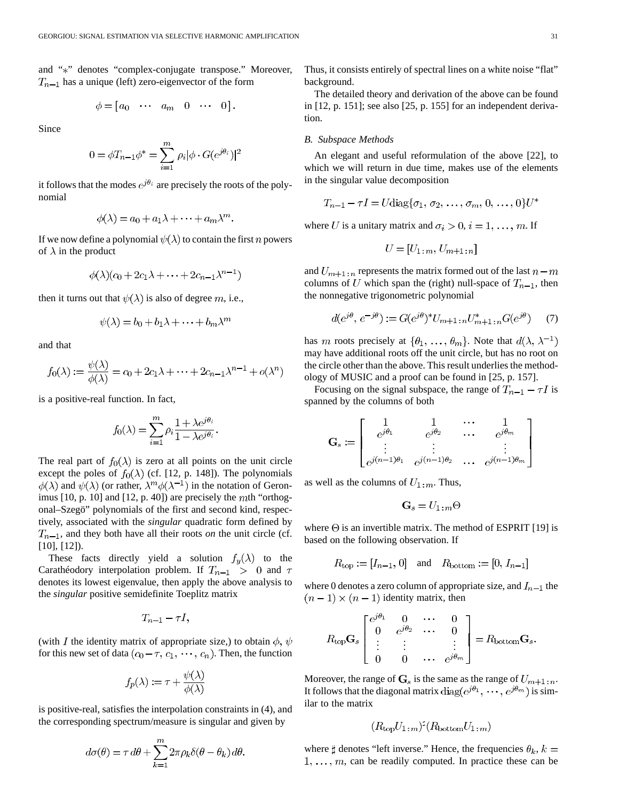and "\*" denotes "complex-conjugate transpose." Moreover,  $T_{n-1}$  has a unique (left) zero-eigenvector of the form

$$
\phi = [a_0 \cdots a_m \quad 0 \quad \cdots \quad 0].
$$

Since

$$
0 = \phi T_{n-1} \phi^* = \sum_{i=1}^m \rho_i |\phi \cdot G(e^{j\theta_i})|^2
$$

it follows that the modes  $e^{j\theta_i}$  are precisely the roots of the polynomial

$$
\phi(\lambda) = a_0 + a_1 \lambda + \dots + a_m \lambda^m.
$$

If we now define a polynomial  $\psi(\lambda)$  to contain the first *n* powers of  $\lambda$  in the product

$$
\phi(\lambda)(c_0+2c_1\lambda+\cdots+2c_{n-1}\lambda^{n-1})
$$

then it turns out that  $\psi(\lambda)$  is also of degree m, i.e.,

$$
\psi(\lambda) = b_0 + b_1 \lambda + \dots + b_m \lambda^m
$$

and that

$$
f_0(\lambda) := \frac{\psi(\lambda)}{\phi(\lambda)} = c_0 + 2c_1\lambda + \dots + 2c_{n-1}\lambda^{n-1} + o(\lambda^n)
$$

is a positive-real function. In fact,

$$
f_0(\lambda) = \sum_{i=1}^m \rho_i \frac{1 + \lambda e^{j\theta_i}}{1 - \lambda e^{j\theta_i}}.
$$

The real part of  $f_0(\lambda)$  is zero at all points on the unit circle except the poles of  $f_0(\lambda)$  (cf. [12, p. 148]). The polynomials  $\phi(\lambda)$  and  $\psi(\lambda)$  (or rather,  $\lambda^m \phi(\lambda^{-1})$  in the notation of Geronimus  $[10, p. 10]$  and  $[12, p. 40]$  are precisely the  $m$ th "orthogonal–Szegö" polynomials of the first and second kind, respectively, associated with the *singular* quadratic form defined by  $T_{n-1}$ , and they both have all their roots *on* the unit circle (cf. [10], [12]).

These facts directly yield a solution  $f_y(\lambda)$  to the Carathéodory interpolation problem. If  $T_{n-1} > 0$  and  $\tau$ denotes its lowest eigenvalue, then apply the above analysis to the *singular* positive semidefinite Toeplitz matrix

$$
T_{n-1}-\tau I,
$$

(with I the identity matrix of appropriate size,) to obtain  $\phi$ ,  $\psi$ for this new set of data  $(c_0 - \tau, c_1, \dots, c_n)$ . Then, the function

$$
f_p(\lambda) := \tau + \frac{\psi(\lambda)}{\phi(\lambda)}
$$

is positive-real, satisfies the interpolation constraints in (4), and the corresponding spectrum/measure is singular and given by

$$
d\sigma(\theta) = \tau \, d\theta + \sum_{k=1}^{m} 2\pi \rho_k \delta(\theta - \theta_k) \, d\theta
$$

Thus, it consists entirely of spectral lines on a white noise "flat" background.

The detailed theory and derivation of the above can be found in [12, p. 151]; see also [25, p. 155] for an independent derivation.

# *B. Subspace Methods*

An elegant and useful reformulation of the above [22], to which we will return in due time, makes use of the elements in the singular value decomposition

$$
T_{n-1} - \tau I = U \text{diag}\{\sigma_1, \sigma_2, \ldots, \sigma_m, 0, \ldots, 0\} U^*
$$

where U is a unitary matrix and  $\sigma_i > 0$ ,  $i = 1, \ldots, m$ . If

$$
U = [U_{1:m}, U_{m+1:n}]
$$

and  $U_{m+1:n}$  represents the matrix formed out of the last  $n-m$ columns of U which span the (right) null-space of  $T_{n-1}$ , then the nonnegative trigonometric polynomial

$$
d(e^{j\theta}, e^{-j\theta}) := G(e^{j\theta})^* U_{m+1:n} U_{m+1:n}^* G(e^{j\theta}) \tag{7}
$$

has m roots precisely at  $\{\theta_1, \ldots, \theta_m\}$ . Note that  $d(\lambda, \lambda^{-1})$ may have additional roots off the unit circle, but has no root on the circle other than the above. This result underlies the methodology of MUSIC and a proof can be found in [25, p. 157].

Focusing on the signal subspace, the range of  $T_{n-1} - \tau I$  is spanned by the columns of both

$$
\mathbf{G}_s := \begin{bmatrix} 1 & 1 & \cdots & 1 \\ e^{j\theta_1} & e^{j\theta_2} & \cdots & e^{j\theta_m} \\ \vdots & \vdots & & \vdots \\ e^{j(n-1)\theta_1} & e^{j(n-1)\theta_2} & \cdots & e^{j(n-1)\theta_m} \end{bmatrix}
$$

as well as the columns of  $U_{1:m}$ . Thus,

$$
\mathbf{G}_{s}=U_{1:m}\Theta
$$

where  $\Theta$  is an invertible matrix. The method of ESPRIT [19] is based on the following observation. If

$$
R_{\text{top}} := [I_{n-1}, 0] \quad \text{and} \quad R_{\text{bottom}} := [0, I_{n-1}]
$$

where 0 denotes a zero column of appropriate size, and  $I_{n-1}$  the  $(n-1) \times (n-1)$  identity matrix, then

$$
R_{\text{top}}\mathbf{G}_{s}\begin{bmatrix} e^{j\theta_{1}} & 0 & \cdots & 0 \\ 0 & e^{j\theta_{2}} & \cdots & 0 \\ \vdots & \vdots & & \vdots \\ 0 & 0 & \cdots & e^{j\theta_{m}} \end{bmatrix} = R_{\text{bottom}}\mathbf{G}_{s}.
$$

Moreover, the range of  $\mathbf{G}_s$  is the same as the range of  $U_{m+1,n}$ . It follows that the diagonal matrix diag( $e^{j\theta_1}, \dots, e^{j\theta_m}$ ) is similar to the matrix

$$
(R_{\text{top}}U_{1:m})^2(R_{\text{bottom}}U_{1:m})
$$

where  $\sharp$  denotes "left inverse." Hence, the frequencies  $\theta_k$ ,  $k =$  $1, \ldots, m$ , can be readily computed. In practice these can be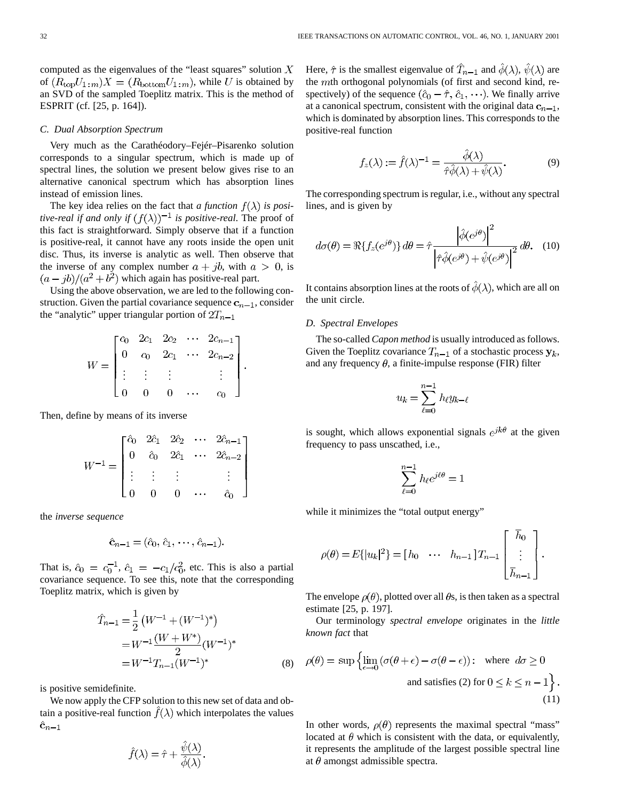computed as the eigenvalues of the "least squares" solution  $X$ of  $(R_{\text{top}}U_{1:m})X = (R_{\text{bottom}}U_{1:m})$ , while U is obtained by an SVD of the sampled Toeplitz matrix. This is the method of ESPRIT (cf. [25, p. 164]).

#### *C. Dual Absorption Spectrum*

Very much as the Carathéodory–Fejér–Pisarenko solution corresponds to a singular spectrum, which is made up of spectral lines, the solution we present below gives rise to an alternative canonical spectrum which has absorption lines instead of emission lines.

The key idea relies on the fact that *a function*  $f(\lambda)$  is posi*tive-real if and only if*  $(f(\lambda))^{-1}$  *is positive-real.* The proof of this fact is straightforward. Simply observe that if a function is positive-real, it cannot have any roots inside the open unit disc. Thus, its inverse is analytic as well. Then observe that the inverse of any complex number  $a + jb$ , with  $a > 0$ , is  $(a - jb)/(a^2 + b^2)$  which again has positive-real part.

Using the above observation, we are led to the following construction. Given the partial covariance sequence  $c_{n-1}$ , consider the "analytic" upper triangular portion of  $2T_{n-1}$ 

$$
W = \begin{bmatrix} c_0 & 2c_1 & 2c_2 & \cdots & 2c_{n-1} \\ 0 & c_0 & 2c_1 & \cdots & 2c_{n-2} \\ \vdots & \vdots & \vdots & & \vdots \\ 0 & 0 & 0 & \cdots & c_0 \end{bmatrix}.
$$

Then, define by means of its inverse

$$
W^{-1} = \begin{bmatrix} \hat{c}_0 & 2\hat{c}_1 & 2\hat{c}_2 & \cdots & 2\hat{c}_{n-1} \\ 0 & \hat{c}_0 & 2\hat{c}_1 & \cdots & 2\hat{c}_{n-2} \\ \vdots & \vdots & \vdots & & \vdots \\ 0 & 0 & 0 & \cdots & \hat{c}_0 \end{bmatrix}
$$

the *inverse sequence*

$$
\hat{\mathbf{c}}_{n-1} = (\hat{c}_0, \, \hat{c}_1, \, \cdots, \, \hat{c}_{n-1}).
$$

That is,  $\hat{c}_0 = c_0^{-1}$ ,  $\hat{c}_1 = -c_1/c_0^2$ , etc. This is also a partial covariance sequence. To see this, note that the corresponding Toeplitz matrix, which is given by

$$
\hat{T}_{n-1} = \frac{1}{2} \left( W^{-1} + (W^{-1})^* \right)
$$
\n
$$
= W^{-1} \frac{(W + W^*)}{2} (W^{-1})^*
$$
\n
$$
= W^{-1} T_{n-1} (W^{-1})^*
$$
\n(8)

is positive semidefinite.

We now apply the CFP solution to this new set of data and obtain a positive-real function  $f(\lambda)$  which interpolates the values  $\hat{\mathbf{c}}_{n-1}$ 

$$
\hat{f}(\lambda) = \hat{\tau} + \frac{\psi(\lambda)}{\hat{\phi}(\lambda)}.
$$

Here,  $\hat{\tau}$  is the smallest eigenvalue of  $\hat{T}_{n-1}$  and  $\hat{\phi}(\lambda)$ ,  $\hat{\psi}(\lambda)$  are the  $m$ th orthogonal polynomials (of first and second kind, respectively) of the sequence  $(\hat{c}_0 - \hat{\tau}, \hat{c}_1, \cdots)$ . We finally arrive at a canonical spectrum, consistent with the original data  $c_{n-1}$ , which is dominated by absorption lines. This corresponds to the positive-real function

$$
f_z(\lambda) := \hat{f}(\lambda)^{-1} = \frac{\hat{\phi}(\lambda)}{\hat{\tau}\hat{\phi}(\lambda) + \hat{\psi}(\lambda)}.
$$
 (9)

The corresponding spectrum is regular, i.e., without any spectral lines, and is given by

$$
d\sigma(\theta) = \Re\{f_z(e^{j\theta})\} d\theta = \hat{\tau} \frac{\left|\hat{\phi}(e^{j\theta})\right|^2}{\left|\hat{\tau}\hat{\phi}(e^{j\theta}) + \hat{\psi}(e^{j\theta})\right|^2} d\theta. \quad (10)
$$

It contains absorption lines at the roots of  $\hat{\phi}(\lambda)$ , which are all on the unit circle.

## *D. Spectral Envelopes*

The so-called *Capon method* is usually introduced as follows. Given the Toeplitz covariance  $T_{n-1}$  of a stochastic process  $y_k$ , and any frequency  $\theta$ , a finite-impulse response (FIR) filter

$$
u_k = \sum_{\ell=0}^{n-1} h_\ell y_{k-\ell}
$$

is sought, which allows exponential signals  $e^{jk\theta}$  at the given frequency to pass unscathed, i.e.,

$$
\sum_{\ell=0}^{n-1} h_{\ell} e^{j\ell\theta} = 1
$$

while it minimizes the "total output energy"

$$
\rho(\theta) = E\{|u_k|^2\} = [h_0 \quad \cdots \quad h_{n-1}] T_{n-1} \begin{bmatrix} h_0 \\ \vdots \\ \overline{h}_{n-1} \end{bmatrix}.
$$

The envelope  $\rho(\theta)$ , plotted over all  $\theta$ s, is then taken as a spectral estimate [25, p. 197].

Our terminology *spectral envelope* originates in the *little known fact* that

$$
\rho(\theta) = \sup \left\{ \lim_{\epsilon \to 0} (\sigma(\theta + \epsilon) - \sigma(\theta - \epsilon)) : \text{ where } d\sigma \ge 0 \right\}
$$
  
and satisfies (2) for  $0 \le k \le n - 1$  }. (11)

In other words,  $\rho(\theta)$  represents the maximal spectral "mass" located at  $\theta$  which is consistent with the data, or equivalently, it represents the amplitude of the largest possible spectral line at  $\theta$  amongst admissible spectra.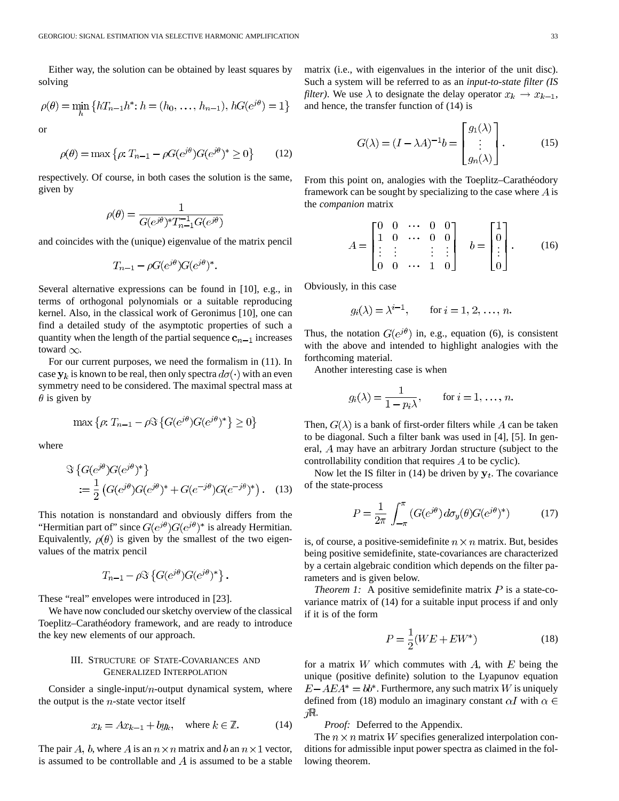Either way, the solution can be obtained by least squares by solving

$$
\rho(\theta) = \min_{h} \{ hT_{n-1}h^* : h = (h_0, \dots, h_{n-1}), hG(e^{j\theta}) = 1 \}
$$

or

$$
\rho(\theta) = \max\left\{\rho; T_{n-1} - \rho G(e^{j\theta}) G(e^{j\theta})^* \ge 0\right\} \tag{12}
$$

respectively. Of course, in both cases the solution is the same, given by

$$
o(\theta) = \frac{1}{G(e^{j\theta})^* T_{n-1}^{-1} G(e^{j\theta})}
$$

and coincides with the (unique) eigenvalue of the matrix pencil

$$
T_{n-1} - \rho G(e^{j\theta})G(e^{j\theta})^*
$$

Several alternative expressions can be found in [10], e.g., in terms of orthogonal polynomials or a suitable reproducing kernel. Also, in the classical work of Geronimus [10], one can find a detailed study of the asymptotic properties of such a quantity when the length of the partial sequence  $c_{n-1}$  increases toward  $\infty$ .

For our current purposes, we need the formalism in (11). In case  $y_k$  is known to be real, then only spectra  $d\sigma(\cdot)$  with an even symmetry need to be considered. The maximal spectral mass at  $\theta$  is given by

$$
\max \left\{ \rho: T_{n-1} - \rho \Im \left\{ G(e^{j\theta}) G(e^{j\theta})^* \right\} \ge 0 \right\}
$$

where

$$
\Im\left\{G(e^{j\theta})G(e^{j\theta})^*\right\}
$$
  
:=  $\frac{1}{2}\left(G(e^{j\theta})G(e^{j\theta})^* + G(e^{-j\theta})G(e^{-j\theta})^*\right)$ . (13)

This notation is nonstandard and obviously differs from the "Hermitian part of" since  $G(e^{j\theta})G(e^{j\theta})^*$  is already Hermitian. Equivalently,  $\rho(\theta)$  is given by the smallest of the two eigenvalues of the matrix pencil

$$
T_{n-1} - \rho \Im \left\{ G(e^{j\theta}) G(e^{j\theta})^* \right\}.
$$

These "real" envelopes were introduced in [23].

We have now concluded our sketchy overview of the classical Toeplitz–Carathéodory framework, and are ready to introduce the key new elements of our approach.

## III. STRUCTURE OF STATE-COVARIANCES AND GENERALIZED INTERPOLATION

Consider a single-input/ $n$ -output dynamical system, where the output is the  $n$ -state vector itself

$$
x_k = Ax_{k-1} + by_k, \quad \text{where } k \in \mathbb{Z}.
$$
 (14)

The pair A, b, where A is an  $n \times n$  matrix and b an  $n \times 1$  vector, is assumed to be controllable and  $A$  is assumed to be a stable matrix (i.e., with eigenvalues in the interior of the unit disc). Such a system will be referred to as an *input-to-state filter (IS filter*). We use  $\lambda$  to designate the delay operator  $x_k \to x_{k-1}$ , and hence, the transfer function of (14) is

$$
G(\lambda) = (I - \lambda A)^{-1}b = \begin{bmatrix} g_1(\lambda) \\ \vdots \\ g_n(\lambda) \end{bmatrix}.
$$
 (15)

From this point on, analogies with the Toeplitz–Carathéodory framework can be sought by specializing to the case where  $\vec{A}$  is the *companion* matrix

$$
A = \begin{bmatrix} 0 & 0 & \cdots & 0 & 0 \\ 1 & 0 & \cdots & 0 & 0 \\ \vdots & \vdots & & \vdots & \vdots \\ 0 & 0 & \cdots & 1 & 0 \end{bmatrix} \quad b = \begin{bmatrix} 1 \\ 0 \\ \vdots \\ 0 \end{bmatrix} . \tag{16}
$$

Obviously, in this case

$$
g_i(\lambda) = \lambda^{i-1}, \qquad \text{for } i = 1, 2, \dots, n.
$$

Thus, the notation  $G(e^{j\theta})$  in, e.g., equation (6), is consistent with the above and intended to highlight analogies with the forthcoming material.

Another interesting case is when

$$
g_i(\lambda) = \frac{1}{1 - p_i \lambda}, \quad \text{for } i = 1, \dots, n.
$$

Then,  $G(\lambda)$  is a bank of first-order filters while A can be taken to be diagonal. Such a filter bank was used in [4], [5]. In general,  $A$  may have an arbitrary Jordan structure (subject to the controllability condition that requires  $A$  to be cyclic).

Now let the IS filter in (14) be driven by  $y_t$ . The covariance of the state-process

$$
P = \frac{1}{2\pi} \int_{-\pi}^{\pi} \left( G(e^{j\theta}) d\sigma_y(\theta) G(e^{j\theta})^* \right) \tag{17}
$$

is, of course, a positive-semidefinite  $n \times n$  matrix. But, besides being positive semidefinite, state-covariances are characterized by a certain algebraic condition which depends on the filter parameters and is given below.

*Theorem 1:* A positive semidefinite matrix  $P$  is a state-covariance matrix of (14) for a suitable input process if and only if it is of the form

$$
P = \frac{1}{2}(WE + EW^*)\tag{18}
$$

for a matrix W which commutes with  $A$ , with  $E$  being the unique (positive definite) solution to the Lyapunov equation  $E - AEA^* = bb^*$ . Furthermore, any such matrix W is uniquely defined from (18) modulo an imaginary constant  $\alpha I$  with  $\alpha \in$  $i\mathbb{R}$ .

*Proof:* Deferred to the Appendix.

The  $n \times n$  matrix W specifies generalized interpolation conditions for admissible input power spectra as claimed in the following theorem.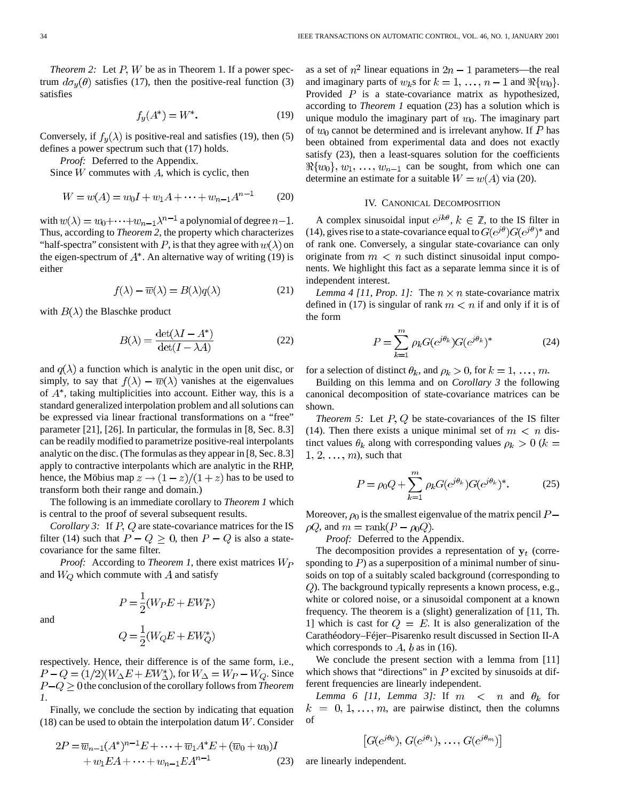*Theorem 2:* Let  $P$ ,  $W$  be as in Theorem 1. If a power spectrum  $d\sigma_u(\theta)$  satisfies (17), then the positive-real function (3) satisfies

$$
f_y(A^*) = W^*.
$$
 (19)

Conversely, if  $f_y(\lambda)$  is positive-real and satisfies (19), then (5) defines a power spectrum such that (17) holds.

*Proof:* Deferred to the Appendix.

Since  $W$  commutes with  $A$ , which is cyclic, then

$$
W = w(A) = w_0 I + w_1 A + \dots + w_{n-1} A^{n-1}
$$
 (20)

with  $w(\lambda) = w_0 + \cdots + w_{n-1} \lambda^{n-1}$  a polynomial of degree  $n-1$ . Thus, according to *Theorem 2*, the property which characterizes "half-spectra" consistent with P, is that they agree with  $w(\lambda)$  on the eigen-spectrum of  $A^*$ . An alternative way of writing (19) is either

$$
f(\lambda) - \overline{w}(\lambda) = B(\lambda)q(\lambda)
$$
 (21)

with  $B(\lambda)$  the Blaschke product

$$
B(\lambda) = \frac{\det(\lambda I - A^*)}{\det(I - \lambda A)}
$$
(22)

and  $q(\lambda)$  a function which is analytic in the open unit disc, or simply, to say that  $f(\lambda) - \overline{w}(\lambda)$  vanishes at the eigenvalues of  $A^*$ , taking multiplicities into account. Either way, this is a standard generalized interpolation problem and all solutions can be expressed via linear fractional transformations on a "free" parameter [21], [26]. In particular, the formulas in [8, Sec. 8.3] can be readily modified to parametrize positive-real interpolants analytic on the disc. (The formulas as they appear in [8, Sec. 8.3] apply to contractive interpolants which are analytic in the RHP, hence, the Möbius map  $z \to (1-z)/(1+z)$  has to be used to transform both their range and domain.)

The following is an immediate corollary to *Theorem 1* which is central to the proof of several subsequent results.

*Corollary 3:* If  $P$ ,  $Q$  are state-covariance matrices for the IS filter (14) such that  $P - Q \ge 0$ , then  $P - Q$  is also a statecovariance for the same filter.

*Proof:* According to *Theorem 1*, there exist matrices  $W_P$ and  $W_Q$  which commute with  $A$  and satisfy

and

$$
P = \frac{1}{2}(W_P E + E W_P^*)
$$
  

$$
Q = \frac{1}{2}(W_Q E + E W_Q^*)
$$

 $\overline{1}$ 

respectively. Hence, their difference is of the same form, i.e.,  $P - Q = (1/2)(W_{\Delta}E + EW_{\Delta}^*)$ , for  $W_{\Delta} = W_P - W_Q$ . Since  $P-Q \geq 0$  the conclusion of the corollary follows from *Theorem 1*.

Finally, we conclude the section by indicating that equation (18) can be used to obtain the interpolation datum  $W$ . Consider

$$
2P = \overline{w}_{n-1}(A^*)^{n-1}E + \dots + \overline{w}_1A^*E + (\overline{w}_0 + w_0)I
$$
  
+  $w_1EA + \dots + w_{n-1}EA^{n-1}$  (23)

as a set of  $n^2$  linear equations in  $2n - 1$  parameters—the real and imaginary parts of  $w_k$ s for  $k = 1, ..., n - 1$  and  $\Re\{w_0\}$ . Provided  $P$  is a state-covariance matrix as hypothesized, according to *Theorem 1* equation (23) has a solution which is unique modulo the imaginary part of  $w_0$ . The imaginary part of  $w_0$  cannot be determined and is irrelevant anyhow. If P has been obtained from experimental data and does not exactly satisfy (23), then a least-squares solution for the coefficients  $\Re\{w_0\}, w_1, \ldots, w_{n-1}$  can be sought, from which one can determine an estimate for a suitable  $W = w(A)$  via (20).

## IV. CANONICAL DECOMPOSITION

A complex sinusoidal input  $e^{jk\theta}$ ,  $k \in \mathbb{Z}$ , to the IS filter in (14), gives rise to a state-covariance equal to  $G(e^{j\theta})G(e^{j\theta})^*$  and of rank one. Conversely, a singular state-covariance can only originate from  $m < n$  such distinct sinusoidal input components. We highlight this fact as a separate lemma since it is of independent interest.

*Lemma 4 [11, Prop. 1]:* The  $n \times n$  state-covariance matrix defined in (17) is singular of rank  $m < n$  if and only if it is of the form

$$
P = \sum_{k=1}^{m} \rho_k G(e^{j\theta_k}) G(e^{j\theta_k})^*
$$
 (24)

for a selection of distinct  $\theta_k$ , and  $\rho_k > 0$ , for  $k = 1, \ldots, m$ .

Building on this lemma and on *Corollary 3* the following canonical decomposition of state-covariance matrices can be shown.

*Theorem 5:* Let  $P$ ,  $Q$  be state-covariances of the IS filter (14). Then there exists a unique minimal set of  $m < n$  distinct values  $\theta_k$  along with corresponding values  $\rho_k > 0$  ( $k =$  $1, 2, \ldots, m$ , such that

$$
P = \rho_0 Q + \sum_{k=1}^{m} \rho_k G(e^{j\theta_k}) G(e^{j\theta_k})^*.
$$
 (25)

Moreover,  $\rho_0$  is the smallest eigenvalue of the matrix pencil  $P \rho Q$ , and  $m = \text{rank}(P - \rho_0 Q)$ .

*Proof:* Deferred to the Appendix.

The decomposition provides a representation of  $y_t$  (corresponding to  $P$ ) as a superposition of a minimal number of sinusoids on top of a suitably scaled background (corresponding to ). The background typically represents a known process, e.g., white or colored noise, or a sinusoidal component at a known frequency. The theorem is a (slight) generalization of [11, Th. 1] which is cast for  $Q = E$ . It is also generalization of the Carathéodory–Féjer–Pisarenko result discussed in Section II-A which corresponds to  $A$ ,  $b$  as in (16).

We conclude the present section with a lemma from [11] which shows that "directions" in  $P$  excited by sinusoids at different frequencies are linearly independent.

*Lemma 6 [11, Lemma 3]:* If  $m < n$  and  $\theta_k$  for  $k = 0, 1, \ldots, m$ , are pairwise distinct, then the columns of

$$
[G(e^{j\theta_0}), G(e^{j\theta_1}), \ldots, G(e^{j\theta_m})]
$$

are linearly independent.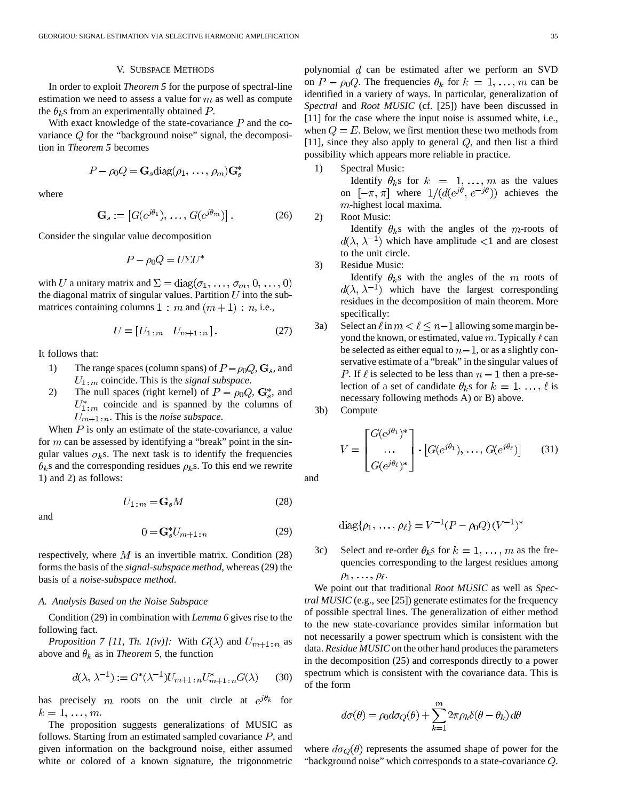#### V. SUBSPACE METHODS

In order to exploit *Theorem 5* for the purpose of spectral-line estimation we need to assess a value for  $m$  as well as compute the  $\theta_k$ s from an experimentally obtained P.

With exact knowledge of the state-covariance  $P$  and the covariance  $Q$  for the "background noise" signal, the decomposition in *Theorem 5* becomes

$$
P - \rho_0 Q = \mathbf{G}_s \text{diag}(\rho_1, \ldots, \rho_m) \mathbf{G}_s^*
$$

where

$$
\mathbf{G}_s := \left[ G(e^{j\theta_1}), \dots, G(e^{j\theta_m}) \right]. \tag{26}
$$

Consider the singular value decomposition

$$
P - \rho_0 Q = U \Sigma U^*
$$

with U a unitary matrix and  $\Sigma = diag(\sigma_1, \ldots, \sigma_m, 0, \ldots, 0)$ the diagonal matrix of singular values. Partition  $U$  into the submatrices containing columns 1 : m and  $(m + 1)$  : n, i.e.,

$$
U = [U_{1:m} \quad U_{m+1:n}]. \tag{27}
$$

It follows that:

- 1) The range spaces (column spans) of  $P \rho_0 Q$ ,  $\mathbf{G}_s$ , and  $U_{1:m}$  coincide. This is the *signal subspace*.
- 2) The null spaces (right kernel) of  $P \rho_0 Q$ ,  $\mathbf{G}_s^*$ , and  $U_{1:m}^*$  coincide and is spanned by the columns of  $U_{m+1:n}$ . This is the *noise subspace*.

When  $P$  is only an estimate of the state-covariance, a value for  $m$  can be assessed by identifying a "break" point in the singular values  $\sigma_k$ s. The next task is to identify the frequencies  $\theta_k$ s and the corresponding residues  $\rho_k$ s. To this end we rewrite 1) and 2) as follows:

 $U_{1:m} = G_s M$ 

and

$$
0 = \mathbf{G}_s^* U_{m+1:n} \tag{29}
$$

respectively, where  $M$  is an invertible matrix. Condition (28) forms the basis of the *signal-subspace method*, whereas (29) the basis of a *noise-subspace method*.

### *A. Analysis Based on the Noise Subspace*

Condition (29) in combination with *Lemma 6* gives rise to the following fact.

*Proposition 7 [11, Th. 1(iv)]:* With  $G(\lambda)$  and  $U_{m+1:n}$  as above and  $\theta_k$  as in *Theorem 5*, the function

$$
d(\lambda, \lambda^{-1}) := G^*(\lambda^{-1}) U_{m+1:n} U_{m+1:n}^* G(\lambda)
$$
 (30)

has precisely m roots on the unit circle at  $e^{j\theta_k}$  for  $k=1,\ldots,m.$ 

The proposition suggests generalizations of MUSIC as follows. Starting from an estimated sampled covariance  $P$ , and given information on the background noise, either assumed white or colored of a known signature, the trigonometric polynomial  $d$  can be estimated after we perform an SVD on  $P - \rho_0 Q$ . The frequencies  $\theta_k$  for  $k = 1, ..., m$  can be identified in a variety of ways. In particular, generalization of *Spectral* and *Root MUSIC* (cf. [25]) have been discussed in [11] for the case where the input noise is assumed white, i.e., when  $Q = E$ . Below, we first mention these two methods from [11], since they also apply to general  $Q$ , and then list a third possibility which appears more reliable in practice.

1) Spectral Music:

Identify  $\theta_k$ s for  $k = 1, ..., m$  as the values on  $[-\pi, \pi]$  where  $1/(d(e^{j\theta}, e^{-j\theta}))$  achieves the  $m$ -highest local maxima.

2) Root Music:

Identify  $\theta_k$ s with the angles of the *m*-roots of  $d(\lambda, \lambda^{-1})$  which have amplitude  $\lt 1$  and are closest to the unit circle.

3) Residue Music:

Identify  $\theta_k$ s with the angles of the m roots of  $d(\lambda, \lambda^{-1})$  which have the largest corresponding residues in the decomposition of main theorem. More specifically:

3a) Select an  $\ell$  in  $m < \ell \leq n-1$  allowing some margin beyond the known, or estimated, value  $m$ . Typically  $\ell$  can be selected as either equal to  $n - 1$ , or as a slightly conservative estimate of a "break" in the singular values of P. If  $\ell$  is selected to be less than  $n-1$  then a pre-selection of a set of candidate  $\theta_k$ s for  $k = 1, \ldots, \ell$  is necessary following methods A) or B) above.

3b) Compute

$$
V = \begin{bmatrix} G(e^{j\theta_1})^* \\ \dots \\ G(e^{j\theta_\ell})^* \end{bmatrix} \cdot \begin{bmatrix} G(e^{j\theta_1}), \dots, G(e^{j\theta_\ell}) \end{bmatrix} \tag{31}
$$

and

(28)

diag
$$
\{\rho_1, \ldots, \rho_\ell\}
$$
 =  $V^{-1}(P - \rho_0 Q)(V^{-1})^*$ 

3c) Select and re-order  $\theta_k$ s for  $k = 1, \dots, m$  as the frequencies corresponding to the largest residues among  $\rho_1, \ldots, \rho_\ell.$ 

We point out that traditional *Root MUSIC* as well as *Spectral MUSIC* (e.g., see [25]) generate estimates for the frequency of possible spectral lines. The generalization of either method to the new state-covariance provides similar information but not necessarily a power spectrum which is consistent with the data. *Residue MUSIC* on the other hand produces the parameters in the decomposition (25) and corresponds directly to a power spectrum which is consistent with the covariance data. This is of the form

$$
d\sigma(\theta) = \rho_0 d\sigma_Q(\theta) + \sum_{k=1}^m 2\pi \rho_k \delta(\theta - \theta_k) d\theta
$$

where  $d\sigma_Q(\theta)$  represents the assumed shape of power for the "background noise" which corresponds to a state-covariance  $Q$ .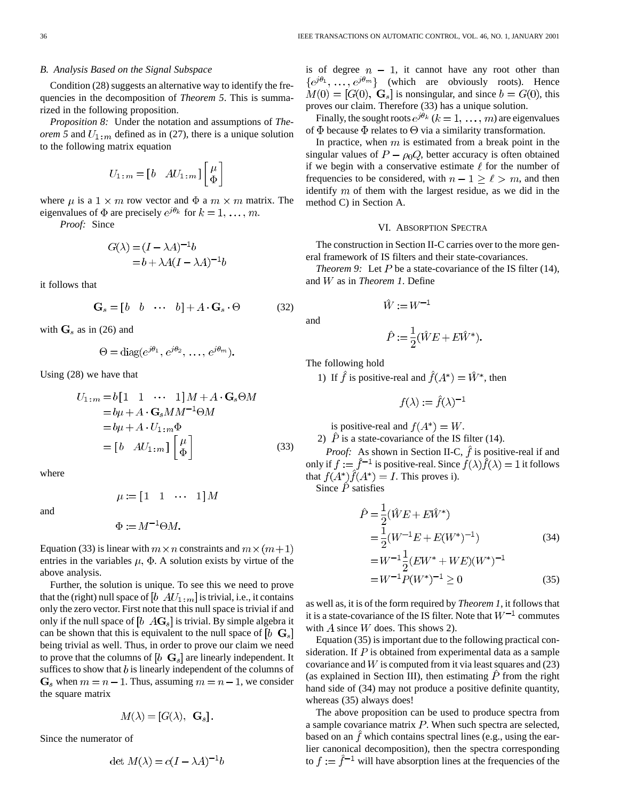#### *B. Analysis Based on the Signal Subspace*

Condition (28) suggests an alternative way to identify the frequencies in the decomposition of *Theorem 5*. This is summarized in the following proposition.

*Proposition 8:* Under the notation and assumptions of *Theorem 5* and  $U_{1:m}$  defined as in (27), there is a unique solution to the following matrix equation

$$
U_{1:m} = \begin{bmatrix} b & AU_{1:m} \end{bmatrix} \begin{bmatrix} \mu \\ \Phi \end{bmatrix}
$$

where  $\mu$  is a  $1 \times m$  row vector and  $\Phi$  a  $m \times m$  matrix. The eigenvalues of  $\Phi$  are precisely  $e^{j\theta_k}$  for  $k = 1, \ldots, m$ .

*Proof:* Since

$$
G(\lambda) = (I - \lambda A)^{-1}b
$$
  
= b + \lambda A(I - \lambda A)^{-1}b

it follows that

$$
\mathbf{G}_s = \begin{bmatrix} b & b & \cdots & b \end{bmatrix} + A \cdot \mathbf{G}_s \cdot \Theta \tag{32}
$$

with  $\mathbf{G}_s$  as in (26) and

$$
\Theta = \text{diag}(e^{j\theta_1}, e^{j\theta_2}, \dots, e^{j\theta_m}).
$$

Using (28) we have that

$$
U_{1:m} = b[1 \quad 1 \quad \cdots \quad 1]M + A \cdot \mathbf{G}_s \Theta M
$$
  
=  $b\mu + A \cdot \mathbf{G}_s MM^{-1} \Theta M$   
=  $b\mu + A \cdot U_{1:m} \Phi$   
=  $\begin{bmatrix} b & AU_{1:m} \end{bmatrix} \begin{bmatrix} \mu \\ \Phi \end{bmatrix}$  (33)

where

and

$$
\Phi:=M^{-1}\Theta M
$$

Equation (33) is linear with  $m \times n$  constraints and  $m \times (m+1)$ entries in the variables  $\mu$ ,  $\Phi$ . A solution exists by virtue of the above analysis.

 $\mu := [1 \ 1 \ \cdots \ 1]$ M

Further, the solution is unique. To see this we need to prove that the (right) null space of  $[b \; AU_{1:m}]$  is trivial, i.e., it contains only the zero vector. First note that this null space is trivial if and only if the null space of  $[b \text{ } AG_s]$  is trivial. By simple algebra it can be shown that this is equivalent to the null space of  $[b \mathbf{G}_s]$ being trivial as well. Thus, in order to prove our claim we need to prove that the columns of  $[b \mathbf{G}_s]$  are linearly independent. It suffices to show that  $b$  is linearly independent of the columns of  $G_s$  when  $m = n - 1$ . Thus, assuming  $m = n - 1$ , we consider the square matrix

$$
M(\lambda) = [G(\lambda), \mathbf{G}_s].
$$

Since the numerator of

$$
\det M(\lambda) = c(I - \lambda A)^{-1}b
$$

is of degree  $n - 1$ , it cannot have any root other than  $\{e^{j\theta_1}, \ldots, e^{j\theta_m}\}\$  (which are obviously roots). Hence  $M(0) = [G(0), G_s]$  is nonsingular, and since  $b = G(0)$ , this proves our claim. Therefore (33) has a unique solution.

Finally, the sought roots  $e^{j\theta_k}$   $(k = 1, ..., m)$  are eigenvalues of  $\Phi$  because  $\Phi$  relates to  $\Theta$  via a similarity transformation.

In practice, when  $m$  is estimated from a break point in the singular values of  $P - \rho_0 Q$ , better accuracy is often obtained if we begin with a conservative estimate  $\ell$  for the number of frequencies to be considered, with  $n - 1 \ge \ell > m$ , and then identify  $m$  of them with the largest residue, as we did in the method C) in Section A.

## VI. ABSORPTION SPECTRA

The construction in Section II-C carries over to the more general framework of IS filters and their state-covariances.

*Theorem 9:* Let  $P$  be a state-covariance of the IS filter (14), and  $W$  as in *Theorem 1*. Define

$$
\hat{W} := W^{-1}
$$

and

$$
\hat{P} := \frac{1}{2}(\hat{W}E + E\hat{W}^*).
$$

The following hold

1) If  $\hat{f}$  is positive-real and  $\hat{f}(A^*) = \hat{W}^*$ , then

$$
f(\lambda) := \hat{f}(\lambda)^{-1}
$$

is positive-real and  $f(A^*) = W$ .

2)  $\hat{P}$  is a state-covariance of the IS filter (14).

*Proof:* As shown in Section II-C,  $\hat{f}$  is positive-real if and only if  $f := \hat{f}^{-1}$  is positive-real. Since  $f(\lambda)\hat{f}(\lambda) = 1$  it follows that  $f(A^*)\hat{f}(A^*)=I$ . This proves i).

Since  $\hat{P}$  satisfies

$$
\hat{P} = \frac{1}{2}(\hat{W}E + E\hat{W}^*)
$$
\n
$$
= \frac{1}{2}(W^{-1}E + E(W^*)^{-1})
$$
\n
$$
= W^{-1}\frac{1}{2}(EW^* + WE^*(W^*)^{-1})
$$
\n(34)

$$
= W \frac{1}{2}(EW + WE)(W)
$$
  
=  $W^{-1}P(W^*)^{-1} \ge 0$  (35)

as well as, it is of the form required by *Theorem 1*, it follows that it is a state-covariance of the IS filter. Note that  $W^{-1}$  commutes with  $A$  since  $W$  does. This shows 2).

Equation (35) is important due to the following practical consideration. If  $P$  is obtained from experimental data as a sample covariance and  $W$  is computed from it via least squares and (23) (as explained in Section III), then estimating  $\ddot{P}$  from the right hand side of (34) may not produce a positive definite quantity, whereas (35) always does!

The above proposition can be used to produce spectra from a sample covariance matrix  $P$ . When such spectra are selected, based on an  $f$  which contains spectral lines (e.g., using the earlier canonical decomposition), then the spectra corresponding to  $f := \hat{f}^{-1}$  will have absorption lines at the frequencies of the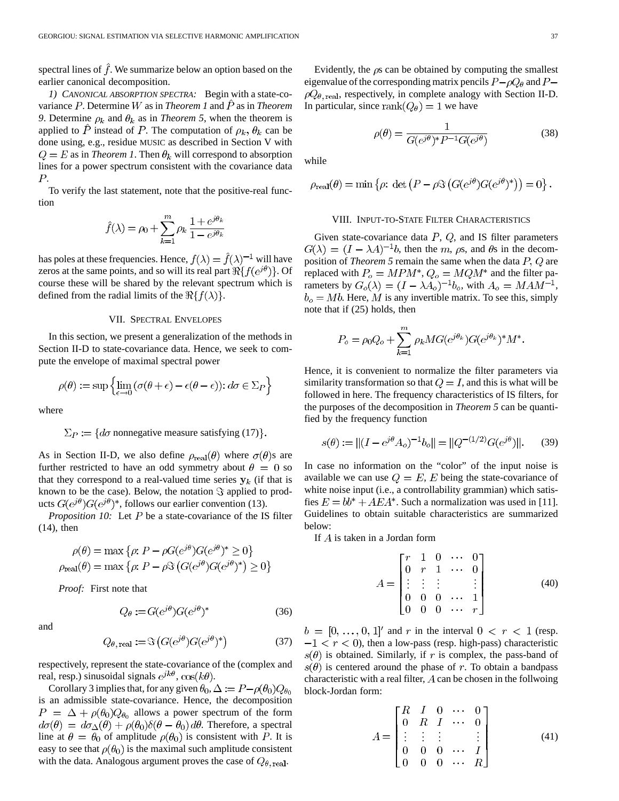spectral lines of  $\hat{f}$ . We summarize below an option based on the earlier canonical decomposition.

*1) CANONICAL ABSORPTION SPECTRA:* Begin with a state-covariance  $P$ . Determine  $W$  as in *Theorem 1* and  $\hat{P}$  as in *Theorem 9*. Determine  $\rho_k$  and  $\theta_k$  as in *Theorem 5*, when the theorem is applied to P instead of P. The computation of  $\rho_k$ ,  $\theta_k$  can be done using, e.g., residue MUSIC as described in Section V with  $Q = E$  as in *Theorem 1*. Then  $\theta_k$  will correspond to absorption lines for a power spectrum consistent with the covariance data  $P$ .

To verify the last statement, note that the positive-real function

$$
\hat{f}(\lambda) = \rho_0 + \sum_{k=1}^{m} \rho_k \frac{1 + e^{j\theta_k}}{1 - e^{j\theta_k}}
$$

has poles at these frequencies. Hence,  $f(\lambda) = \hat{f}(\lambda)^{-1}$  will have zeros at the same points, and so will its real part  $\Re\{f(e^{j\theta})\}\.$  Of course these will be shared by the relevant spectrum which is defined from the radial limits of the  $\mathbb{R}\{f(\lambda)\}\$ .

#### VII. SPECTRAL ENVELOPES

In this section, we present a generalization of the methods in Section II-D to state-covariance data. Hence, we seek to compute the envelope of maximal spectral power

$$
\rho(\theta) := \sup \left\{ \lim_{\epsilon \to 0} (\sigma(\theta + \epsilon) - \epsilon(\theta - \epsilon)) : d\sigma \in \Sigma_P \right\}
$$

where

and

$$
\Sigma_P := \{ d\sigma \text{ nonnegative measure satisfying (17)} \}.
$$

As in Section II-D, we also define  $\rho_{\text{real}}(\theta)$  where  $\sigma(\theta)$ s are further restricted to have an odd symmetry about  $\theta = 0$  so that they correspond to a real-valued time series  $y_k$  (if that is known to be the case). Below, the notation  $\Im$  applied to products  $G(e^{j\theta})G(e^{j\theta})^*$ , follows our earlier convention (13).

*Proposition 10:* Let  $P$  be a state-covariance of the IS filter (14), then

$$
\rho(\theta) = \max \{ \rho : P - \rho G(e^{j\theta}) G(e^{j\theta})^* \ge 0 \}
$$
  
\n
$$
\rho_{real}(\theta) = \max \{ \rho : P - \rho \Im (G(e^{j\theta}) G(e^{j\theta})^*) \ge 0 \}
$$

*Proof:* First note that

$$
Q_{\theta} := G(e^{j\theta})G(e^{j\theta})^*
$$
 (36)

$$
Q_{\theta, \text{real}} := \Im \left( G(e^{j\theta}) G(e^{j\theta})^* \right) \tag{37}
$$

respectively, represent the state-covariance of the (complex and real, resp.) sinusoidal signals  $e^{jk\theta}$ ,  $\cos(k\theta)$ .

Corollary 3 implies that, for any given  $\theta_0$ ,  $\Delta := P - \rho(\theta_0)Q_{\theta_0}$ is an admissible state-covariance. Hence, the decomposition  $P = \Delta + \rho(\theta_0)Q_{\theta_0}$  allows a power spectrum of the form  $d\sigma(\theta) = d\sigma_{\Delta}(\theta) + \rho(\theta_0)\delta(\theta - \theta_0) d\theta$ . Therefore, a spectral line at  $\theta = \theta_0$  of amplitude  $\rho(\theta_0)$  is consistent with P. It is easy to see that  $\rho(\theta_0)$  is the maximal such amplitude consistent with the data. Analogous argument proves the case of  $Q_{\theta, \text{real}}$ .

Evidently, the  $\rho s$  can be obtained by computing the smallest eigenvalue of the corresponding matrix pencils  $P - \rho Q_\theta$  and  $P \rho Q_{\theta, \text{real}}$ , respectively, in complete analogy with Section II-D. In particular, since rank $(Q_{\theta}) = 1$  we have

$$
\rho(\theta) = \frac{1}{G(e^{j\theta})^* P^{-1} G(e^{j\theta})}
$$
\n(38)

while

$$
\rho_{\text{real}}(\theta) = \min \left\{ \rho : \det \left( P - \rho \Im \left( G(e^{j\theta}) G(e^{j\theta})^* \right) \right) = 0 \right\}.
$$

## VIII. INPUT-TO-STATE FILTER CHARACTERISTICS

Given state-covariance data  $P$ ,  $Q$ , and IS filter parameters  $G(\lambda) = (I - \lambda A)^{-1}b$ , then the m,  $\rho s$ , and  $\theta s$  in the decomposition of *Theorem 5* remain the same when the data  $P$ ,  $Q$  are replaced with  $P_o = MPM^*$ ,  $Q_o = MQM^*$  and the filter parameters by  $G_o(\lambda) = (I - \lambda A_o)^{-1} b_o$ , with  $A_o = M A M^{-1}$ ,  $b<sub>o</sub> = Mb$ . Here, M is any invertible matrix. To see this, simply note that if (25) holds, then

$$
P_o = \rho_0 Q_o + \sum_{k=1}^{m} \rho_k MG(e^{j\theta_k})G(e^{j\theta_k})^*M^*.
$$

Hence, it is convenient to normalize the filter parameters via similarity transformation so that  $Q = I$ , and this is what will be followed in here. The frequency characteristics of IS filters, for the purposes of the decomposition in *Theorem 5* can be quantified by the frequency function

$$
s(\theta) := ||(I - e^{j\theta} A_o)^{-1} b_o|| = ||Q^{-(1/2)} G(e^{j\theta})||. \tag{39}
$$

In case no information on the "color" of the input noise is available we can use  $Q = E$ , E being the state-covariance of white noise input (i.e., a controllability grammian) which satisfies  $E = bb^* + AEA^*$ . Such a normalization was used in [11]. Guidelines to obtain suitable characteristics are summarized below:

If  $A$  is taken in a Jordan form

$$
A = \begin{bmatrix} r & 1 & 0 & \cdots & 0 \\ 0 & r & 1 & \cdots & 0 \\ \vdots & \vdots & \vdots & & \vdots \\ 0 & 0 & 0 & \cdots & 1 \\ 0 & 0 & 0 & \cdots & r \end{bmatrix}
$$
 (40)

 $b = [0, \ldots, 0, 1]$  and r in the interval  $0 < r < 1$  (resp.  $-1 < r < 0$ ), then a low-pass (resp. high-pass) characteristic  $s(\theta)$  is obtained. Similarly, if r is complex, the pass-band of  $s(\theta)$  is centered around the phase of r. To obtain a bandpass characteristic with a real filter,  $A$  can be chosen in the follwoing block-Jordan form:

$$
A = \begin{bmatrix} R & I & 0 & \cdots & 0 \\ 0 & R & I & \cdots & 0 \\ \vdots & \vdots & \vdots & & \vdots \\ 0 & 0 & 0 & \cdots & I \\ 0 & 0 & 0 & \cdots & R \end{bmatrix}
$$
(41)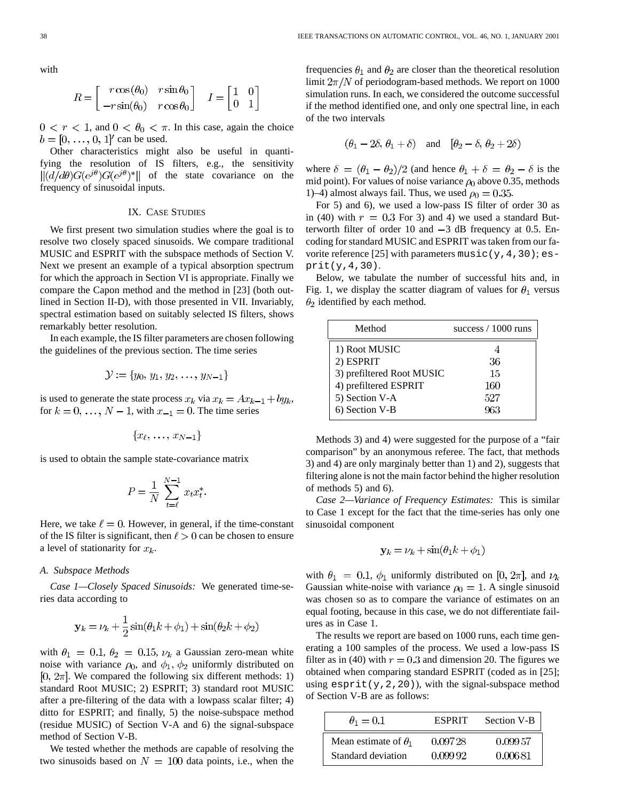with

$$
R = \begin{bmatrix} r\cos(\theta_0) & r\sin\theta_0 \\ -r\sin(\theta_0) & r\cos\theta_0 \end{bmatrix} \quad I = \begin{bmatrix} 1 & 0 \\ 0 & 1 \end{bmatrix}
$$

 $0 < r < 1$ , and  $0 < \theta_0 < \pi$ . In this case, again the choice  $b = [0, ..., 0, 1]'$  can be used.

Other characteristics might also be useful in quantifying the resolution of IS filters, e.g., the sensitivity  $||(d/d\theta)G(e^{j\theta})G(e^{j\theta})^*||$  of the state covariance on the frequency of sinusoidal inputs.

## IX. CASE STUDIES

We first present two simulation studies where the goal is to resolve two closely spaced sinusoids. We compare traditional MUSIC and ESPRIT with the subspace methods of Section V. Next we present an example of a typical absorption spectrum for which the approach in Section VI is appropriate. Finally we compare the Capon method and the method in [23] (both outlined in Section II-D), with those presented in VII. Invariably, spectral estimation based on suitably selected IS filters, shows remarkably better resolution.

In each example, the IS filter parameters are chosen following the guidelines of the previous section. The time series

$$
\mathcal{Y} := \{y_0, y_1, y_2, \ldots, y_{N-1}\}
$$

is used to generate the state process  $x_k$  via  $x_k = Ax_{k-1} + by_k$ , for  $k = 0, \ldots, N - 1$ , with  $x_{-1} = 0$ . The time series

$$
\{x_\ell,\,\ldots,\,x_{N-1}\}
$$

is used to obtain the sample state-covariance matrix

$$
P = \frac{1}{N} \sum_{t=\ell}^{N-1} x_t x_t^*.
$$

Here, we take  $\ell = 0$ . However, in general, if the time-constant of the IS filter is significant, then  $\ell > 0$  can be chosen to ensure a level of stationarity for  $x_k$ .

#### *A. Subspace Methods*

*Case 1—Closely Spaced Sinusoids:* We generated time-series data according to

$$
\mathbf{y}_k = \nu_k + \frac{1}{2}\sin(\theta_1 k + \phi_1) + \sin(\theta_2 k + \phi_2)
$$

with  $\theta_1 = 0.1, \theta_2 = 0.15, \nu_k$  a Gaussian zero-mean white noise with variance  $\rho_0$ , and  $\phi_1$ ,  $\phi_2$  uniformly distributed on  $[0, 2\pi]$ . We compared the following six different methods: 1) standard Root MUSIC; 2) ESPRIT; 3) standard root MUSIC after a pre-filtering of the data with a lowpass scalar filter; 4) ditto for ESPRIT; and finally, 5) the noise-subspace method (residue MUSIC) of Section V-A and 6) the signal-subspace method of Section V-B.

We tested whether the methods are capable of resolving the two sinusoids based on  $N = 100$  data points, i.e., when the frequencies  $\theta_1$  and  $\theta_2$  are closer than the theoretical resolution limit  $2\pi/N$  of periodogram-based methods. We report on 1000 simulation runs. In each, we considered the outcome successful if the method identified one, and only one spectral line, in each of the two intervals

$$
(\theta_1 - 2\delta, \theta_1 + \delta)
$$
 and  $[\theta_2 - \delta, \theta_2 + 2\delta)$ 

where  $\delta = (\theta_1 - \theta_2)/2$  (and hence  $\theta_1 + \delta = \theta_2 - \delta$  is the mid point). For values of noise variance  $\rho_0$  above 0.35, methods 1)–4) almost always fail. Thus, we used  $\rho_0 = 0.35$ .

For 5) and 6), we used a low-pass IS filter of order 30 as in (40) with  $r = 0.3$  For 3) and 4) we used a standard Butterworth filter of order 10 and  $-3$  dB frequency at 0.5. Encoding for standard MUSIC and ESPRIT was taken from our favorite reference [25] with parameters music(y, 4,30); esprit(y,4,30).

Below, we tabulate the number of successful hits and, in Fig. 1, we display the scatter diagram of values for  $\theta_1$  versus  $\theta_2$  identified by each method.

| Method                    | success $/ 1000$ runs |
|---------------------------|-----------------------|
| 1) Root MUSIC             | 4                     |
| 2) ESPRIT                 | 36                    |
| 3) prefiltered Root MUSIC | 15                    |
| 4) prefiltered ESPRIT     | 160                   |
| 5) Section V-A            | 527                   |
| 6) Section V-B            | 963                   |

Methods 3) and 4) were suggested for the purpose of a "fair comparison" by an anonymous referee. The fact, that methods 3) and 4) are only marginaly better than 1) and 2), suggests that filtering alone is not the main factor behind the higher resolution of methods 5) and 6).

*Case 2—Variance of Frequency Estimates:* This is similar to Case 1 except for the fact that the time-series has only one sinusoidal component

$$
\mathbf{y}_k = \nu_k + \sin(\theta_1 k + \phi_1)
$$

with  $\theta_1 = 0.1$ ,  $\phi_1$  uniformly distributed on [0,  $2\pi$ ], and  $\nu_k$ Gaussian white-noise with variance  $\rho_0 = 1$ . A single sinusoid was chosen so as to compare the variance of estimates on an equal footing, because in this case, we do not differentiate failures as in Case 1.

The results we report are based on 1000 runs, each time generating a 100 samples of the process. We used a low-pass IS filter as in (40) with  $r = 0.3$  and dimension 20. The figures we obtained when comparing standard ESPRIT (coded as in [25]; using  $\text{esprit}(y,2,20)$ , with the signal-subspace method of Section V-B are as follows:

| 0.097 28<br>0.099.57<br>0.099.92<br>0.006.81 |
|----------------------------------------------|
|                                              |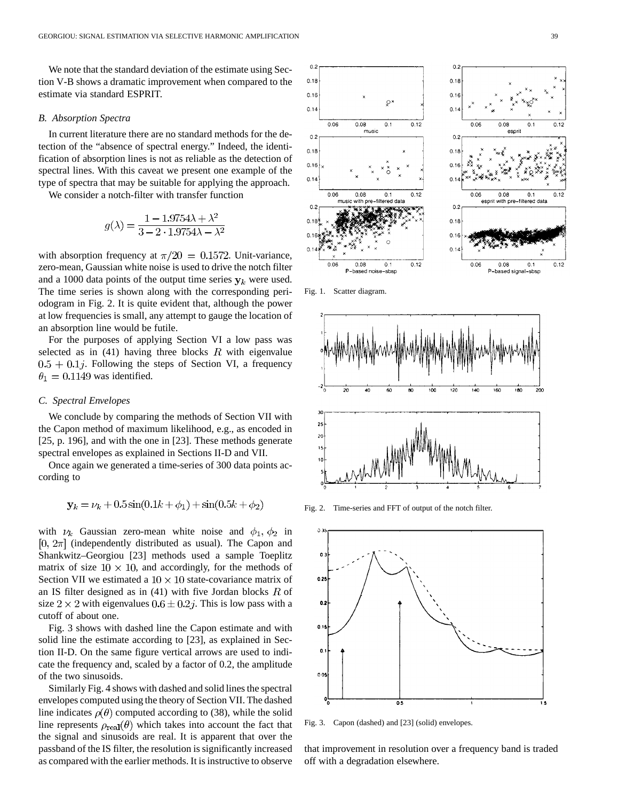We note that the standard deviation of the estimate using Section V-B shows a dramatic improvement when compared to the estimate via standard ESPRIT.

## *B. Absorption Spectra*

In current literature there are no standard methods for the detection of the "absence of spectral energy." Indeed, the identification of absorption lines is not as reliable as the detection of spectral lines. With this caveat we present one example of the type of spectra that may be suitable for applying the approach.

We consider a notch-filter with transfer function

$$
g(\lambda) = \frac{1 - 1.9754\lambda + \lambda^2}{3 - 2 \cdot 1.9754\lambda - \lambda^2}
$$

with absorption frequency at  $\pi/20 = 0.1572$ . Unit-variance, zero-mean, Gaussian white noise is used to drive the notch filter and a 1000 data points of the output time series  $y_k$  were used. The time series is shown along with the corresponding periodogram in Fig. 2. It is quite evident that, although the power at low frequencies is small, any attempt to gauge the location of an absorption line would be futile.

For the purposes of applying Section VI a low pass was selected as in  $(41)$  having three blocks R with eigenvalue  $0.5 + 0.1j$ . Following the steps of Section VI, a frequency  $\theta_1 = 0.1149$  was identified.

## *C. Spectral Envelopes*

We conclude by comparing the methods of Section VII with the Capon method of maximum likelihood, e.g., as encoded in [25, p. 196], and with the one in [23]. These methods generate spectral envelopes as explained in Sections II-D and VII.

Once again we generated a time-series of 300 data points according to

$$
\mathbf{y}_k = \nu_k + 0.5\sin(0.1k + \phi_1) + \sin(0.5k + \phi_2)
$$

with  $\nu_k$  Gaussian zero-mean white noise and  $\phi_1$ ,  $\phi_2$  in  $[0, 2\pi]$  (independently distributed as usual). The Capon and Shankwitz–Georgiou [23] methods used a sample Toeplitz matrix of size  $10 \times 10$ , and accordingly, for the methods of Section VII we estimated a  $10 \times 10$  state-covariance matrix of an IS filter designed as in  $(41)$  with five Jordan blocks R of size  $2 \times 2$  with eigenvalues  $0.6 \pm 0.2j$ . This is low pass with a cutoff of about one.

Fig. 3 shows with dashed line the Capon estimate and with solid line the estimate according to [23], as explained in Section II-D. On the same figure vertical arrows are used to indicate the frequency and, scaled by a factor of 0.2, the amplitude of the two sinusoids.

Similarly Fig. 4 shows with dashed and solid lines the spectral envelopes computed using the theory of Section VII. The dashed line indicates  $\rho(\theta)$  computed according to (38), while the solid line represents  $\rho_{\text{real}}(\theta)$  which takes into account the fact that the signal and sinusoids are real. It is apparent that over the passband of the IS filter, the resolution is significantly increased as compared with the earlier methods. It is instructive to observe



Fig. 1. Scatter diagram.



Fig. 2. Time-series and FFT of output of the notch filter.



Fig. 3. Capon (dashed) and [23] (solid) envelopes.

that improvement in resolution over a frequency band is traded off with a degradation elsewhere.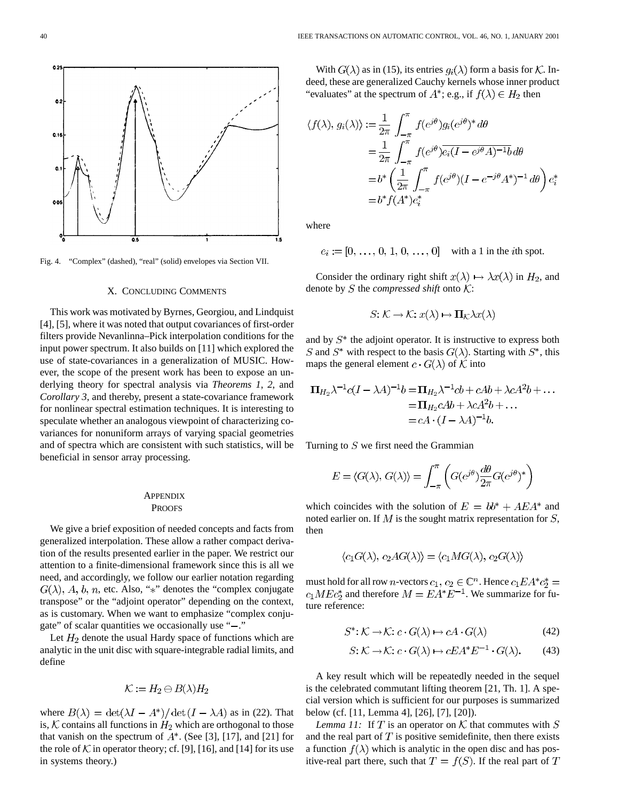

Fig. 4. "Complex" (dashed), "real" (solid) envelopes via Section VII.

## X. CONCLUDING COMMENTS

This work was motivated by Byrnes, Georgiou, and Lindquist [4], [5], where it was noted that output covariances of first-order filters provide Nevanlinna–Pick interpolation conditions for the input power spectrum. It also builds on [11] which explored the use of state-covariances in a generalization of MUSIC. However, the scope of the present work has been to expose an underlying theory for spectral analysis via *Theorems 1*, *2*, and *Corollary 3*, and thereby, present a state-covariance framework for nonlinear spectral estimation techniques. It is interesting to speculate whether an analogous viewpoint of characterizing covariances for nonuniform arrays of varying spacial geometries and of spectra which are consistent with such statistics, will be beneficial in sensor array processing.

## **APPENDIX** PROOFS

We give a brief exposition of needed concepts and facts from generalized interpolation. These allow a rather compact derivation of the results presented earlier in the paper. We restrict our attention to a finite-dimensional framework since this is all we need, and accordingly, we follow our earlier notation regarding  $G(\lambda)$ , A, b, n, etc. Also, "\*" denotes the "complex conjugate" transpose" or the "adjoint operator" depending on the context, as is customary. When we want to emphasize "complex conjugate" of scalar quantities we occasionally use "-."

Let  $H_2$  denote the usual Hardy space of functions which are analytic in the unit disc with square-integrable radial limits, and define

$$
\mathcal{K} := H_2 \ominus B(\lambda)H_2
$$

where  $B(\lambda) = \det(\lambda I - A^*)/\det(I - \lambda A)$  as in (22). That is,  $K$  contains all functions in  $H_2$  which are orthogonal to those that vanish on the spectrum of  $A^*$ . (See [3], [17], and [21] for the role of  $K$  in operator theory; cf. [9], [16], and [14] for its use in systems theory.)

With  $G(\lambda)$  as in (15), its entries  $g_i(\lambda)$  form a basis for  $K$ . Indeed, these are generalized Cauchy kernels whose inner product "evaluates" at the spectrum of  $A^*$ ; e.g., if  $f(\lambda) \in H_2$  then

$$
\langle f(\lambda), g_i(\lambda) \rangle := \frac{1}{2\pi} \int_{-\pi}^{\pi} f(e^{j\theta}) g_i(e^{j\theta})^* d\theta
$$
  

$$
= \frac{1}{2\pi} \int_{-\pi}^{\pi} f(e^{j\theta}) \overline{e_i (I - e^{j\theta} A)^{-1} b} d\theta
$$
  

$$
= b^* \left( \frac{1}{2\pi} \int_{-\pi}^{\pi} f(e^{j\theta}) (I - e^{-j\theta} A^*)^{-1} d\theta \right) e_i^*
$$
  

$$
= b^* f(A^*) e_i^*
$$

where

$$
e_i := [0, ..., 0, 1, 0, ..., 0]
$$
 with a 1 in the *i*th spot.

Consider the ordinary right shift  $x(\lambda) \mapsto \lambda x(\lambda)$  in  $H_2$ , and denote by  $S$  the *compressed shift* onto  $K$ :

$$
S: \mathcal{K} \to \mathcal{K}: x(\lambda) \mapsto \mathbf{\Pi}_{\mathcal{K}}\lambda x(\lambda)
$$

and by  $S^*$  the adjoint operator. It is instructive to express both S and  $S^*$  with respect to the basis  $G(\lambda)$ . Starting with  $S^*$ , this maps the general element  $c \cdot G(\lambda)$  of K into

$$
\Pi_{H_2}\lambda^{-1}c(I-\lambda A)^{-1}b = \Pi_{H_2}\lambda^{-1}cb + cAb + \lambda cA^2b + \dots
$$
  
=  $\Pi_{H_2}cAb + \lambda cA^2b + \dots$   
=  $cA \cdot (I - \lambda A)^{-1}b$ .

Turning to  $S$  we first need the Grammian

$$
E = \langle G(\lambda), G(\lambda) \rangle = \int_{-\pi}^{\pi} \left( G(e^{j\theta}) \frac{d\theta}{2\pi} G(e^{j\theta})^* \right)
$$

which coincides with the solution of  $E = bb^* + AEA^*$  and noted earlier on. If  $M$  is the sought matrix representation for  $S$ , then

$$
\langle c_1 G(\lambda), c_2 A G(\lambda) \rangle = \langle c_1 M G(\lambda), c_2 G(\lambda) \rangle
$$

must hold for all row  $n$  -vectors  $c_1,\,c_2\in\mathbb{C}^n.$  Hence  $c_1EA^*c_2^*$   $=$  $c_1 M E c_2^*$  and therefore  $M = E A^* E^{-1}$ . We summarize for future reference:

$$
S^* \colon \mathcal{K} \to \mathcal{K} \colon c \cdot G(\lambda) \mapsto cA \cdot G(\lambda) \tag{42}
$$

$$
S: \mathcal{K} \to \mathcal{K}: c \cdot G(\lambda) \mapsto cEA^*E^{-1} \cdot G(\lambda). \tag{43}
$$

A key result which will be repeatedly needed in the sequel is the celebrated commutant lifting theorem [21, Th. 1]. A special version which is sufficient for our purposes is summarized below (cf. [11, Lemma 4], [26], [7], [20]).

*Lemma 11:* If T is an operator on  $K$  that commutes with S and the real part of  $T$  is positive semidefinite, then there exists a function  $f(\lambda)$  which is analytic in the open disc and has positive-real part there, such that  $T = f(S)$ . If the real part of T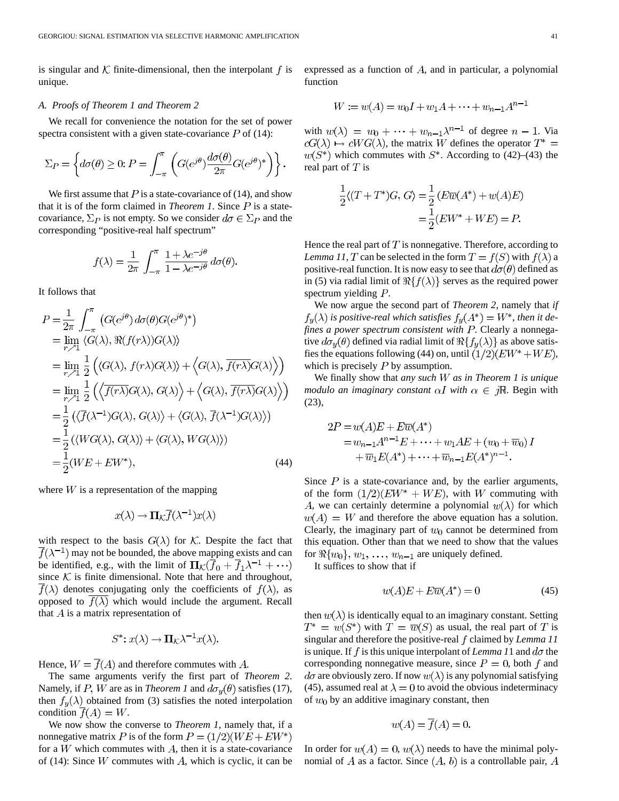is singular and  $K$  finite-dimensional, then the interpolant f is unique.

## *A. Proofs of Theorem 1 and Theorem 2*

We recall for convenience the notation for the set of power spectra consistent with a given state-covariance  $P$  of (14):

$$
\Sigma_P = \left\{ d\sigma(\theta) \ge 0 : P = \int_{-\pi}^{\pi} \left( G(e^{j\theta}) \frac{d\sigma(\theta)}{2\pi} G(e^{j\theta})^* \right) \right\}.
$$

We first assume that  $P$  is a state-covariance of (14), and show that it is of the form claimed in *Theorem 1*. Since  $P$  is a statecovariance,  $\Sigma_P$  is not empty. So we consider  $d\sigma \in \Sigma_P$  and the corresponding "positive-real half spectrum"

$$
f(\lambda) = \frac{1}{2\pi} \int_{-\pi}^{\pi} \frac{1 + \lambda e^{-j\theta}}{1 - \lambda e^{-j\theta}} d\sigma(\theta).
$$

It follows that

$$
P = \frac{1}{2\pi} \int_{-\pi}^{\pi} (G(e^{j\theta}) d\sigma(\theta) G(e^{j\theta})^*)
$$
  
\n
$$
= \lim_{r \nearrow 1} \langle G(\lambda), \Re(f(r\lambda)) G(\lambda) \rangle
$$
  
\n
$$
= \lim_{r \nearrow 1} \frac{1}{2} (\langle G(\lambda), f(r\lambda) G(\lambda) \rangle + \langle G(\lambda), \overline{f(r\lambda)} G(\lambda) \rangle)
$$
  
\n
$$
= \lim_{r \nearrow 1} \frac{1}{2} (\langle \overline{f(r\lambda)} G(\lambda), G(\lambda) \rangle + \langle G(\lambda), \overline{f(r\lambda)} G(\lambda) \rangle)
$$
  
\n
$$
= \frac{1}{2} (\langle \overline{f(\lambda^{-1})} G(\lambda), G(\lambda) \rangle + \langle G(\lambda), \overline{f(\lambda^{-1})} G(\lambda) \rangle)
$$
  
\n
$$
= \frac{1}{2} (\langle W G(\lambda), G(\lambda) \rangle + \langle G(\lambda), W G(\lambda) \rangle)
$$
  
\n
$$
= \frac{1}{2} (WE + EW^*), \tag{44}
$$

where  $W$  is a representation of the mapping

$$
x(\lambda) \to \mathbf{\Pi}_{\mathcal{K}} \overline{f}(\lambda^{-1}) x(\lambda)
$$

with respect to the basis  $G(\lambda)$  for K. Despite the fact that  $\overline{f}(\lambda^{-1})$  may not be bounded, the above mapping exists and can be identified, e.g., with the limit of  $\Pi_{\mathcal{K}}(\overline{f}_0 + \overline{f}_1 \lambda^{-1} + \cdots)$ since  $K$  is finite dimensional. Note that here and throughout,  $\overline{f}(\lambda)$  denotes conjugating only the coefficients of  $f(\lambda)$ , as opposed to  $f(\lambda)$  which would include the argument. Recall that  $\overline{A}$  is a matrix representation of

$$
S^* \colon x(\lambda) \to \mathbf{\Pi}_{\mathcal{K}} \lambda^{-1} x(\lambda).
$$

Hence,  $W = \overline{f}(A)$  and therefore commutes with A.

The same arguments verify the first part of *Theorem 2*. Namely, if P, W are as in *Theorem 1* and  $d\sigma_y(\theta)$  satisfies (17), then  $f_y(\lambda)$  obtained from (3) satisfies the noted interpolation condition  $\overline{f}(A) = W$ .

We now show the converse to *Theorem 1*, namely that, if a nonnegative matrix P is of the form  $P = (1/2)(WE + EW^*)$ for a  $W$  which commutes with  $A$ , then it is a state-covariance of (14): Since  $W$  commutes with  $A$ , which is cyclic, it can be expressed as a function of  $A$ , and in particular, a polynomial function

$$
W := w(A) = w_0 I + w_1 A + \dots + w_{n-1} A^{n-1}
$$

with  $w(\lambda) = w_0 + \cdots + w_{n-1} \lambda^{n-1}$  of degree  $n-1$ . Via  $cG(\lambda) \mapsto cWG(\lambda)$ , the matrix W defines the operator  $T^* =$  $w(S^*)$  which commutes with  $S^*$ . According to (42)–(43) the real part of  $T$  is

$$
\frac{1}{2}\langle (T+T^*)G, G \rangle = \frac{1}{2} \left( E\overline{w}(A^*) + w(A)E \right)
$$

$$
= \frac{1}{2} (EW^* + WE) = P.
$$

Hence the real part of  $T$  is nonnegative. Therefore, according to *Lemma 11*, T can be selected in the form  $T = f(S)$  with  $f(\lambda)$  a positive-real function. It is now easy to see that  $d\sigma(\theta)$  defined as in (5) via radial limit of  $\Re\{f(\lambda)\}\$  serves as the required power spectrum yielding  $P$ .

We now argue the second part of *Theorem 2*, namely that *if*  $f_u(\lambda)$  is positive-real which satisfies  $f_u(A^*) = W^*$ , then it de*fines a power spectrum consistent with* P. Clearly a nonnegative  $d\sigma_y(\theta)$  defined via radial limit of  $\Re\{f_y(\lambda)\}\$ as above satisfies the equations following (44) on, until  $(1/2)(EW^* + WE)$ , which is precisely  $P$  by assumption.

We finally show that *any such W* as in Theorem 1 is unique *modulo an imaginary constant*  $\alpha I$  with  $\alpha \in \mathcal{R}$ . Begin with (23),

$$
2P = w(A)E + E\overline{w}(A^*)
$$
  
=  $w_{n-1}A^{n-1}E + \dots + w_1AE + (w_0 + \overline{w}_0)I$   
+  $\overline{w}_1E(A^*) + \dots + \overline{w}_{n-1}E(A^*)^{n-1}$ .

Since  $P$  is a state-covariance and, by the earlier arguments, of the form  $(1/2)(EW^* + WE)$ , with W commuting with A, we can certainly determine a polynomial  $w(\lambda)$  for which  $w(A) = W$  and therefore the above equation has a solution. Clearly, the imaginary part of  $w_0$  cannot be determined from this equation. Other than that we need to show that the values for  $\mathbb{R}{w_0}$ ,  $w_1, \ldots, w_{n-1}$  are uniquely defined.

It suffices to show that if

$$
w(A)E + E\overline{w}(A^*) = 0\tag{45}
$$

then  $w(\lambda)$  is identically equal to an imaginary constant. Setting  $T^* = w(S^*)$  with  $T = \overline{w}(S)$  as usual, the real part of T is singular and therefore the positive-real  $f$  claimed by *Lemma 11* is unique. If f is this unique interpolant of *Lemma 1*1 and  $d\sigma$  the corresponding nonnegative measure, since  $P = 0$ , both f and  $d\sigma$  are obviously zero. If now  $w(\lambda)$  is any polynomial satisfying (45), assumed real at  $\lambda = 0$  to avoid the obvious indeterminacy of  $w_0$  by an additive imaginary constant, then

$$
w(A) = f(A) = 0.
$$

In order for  $w(A) = 0$ ,  $w(\lambda)$  needs to have the minimal polynomial of A as a factor. Since  $(A, b)$  is a controllable pair, A